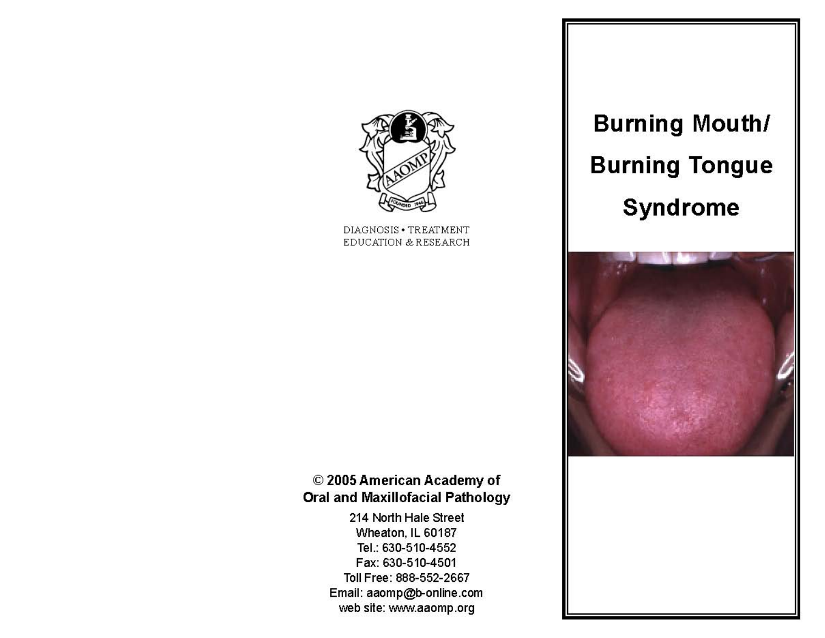

DIAGNOSIS . TREATMENT EDUCATION & RESEARCH

# **Burning Mouth/ Burning Tongue Syndrome**



## © 2005 American Academy of **Oral and Maxillofacial Pathology**

214 North Hale Street Wheaton, IL 60187 Tel.: 630-510-4552 Fax: 630-510-4501 Toll Free: 888-552-2667 Email: aaomp@b-online.com web site: www.aaomp.org